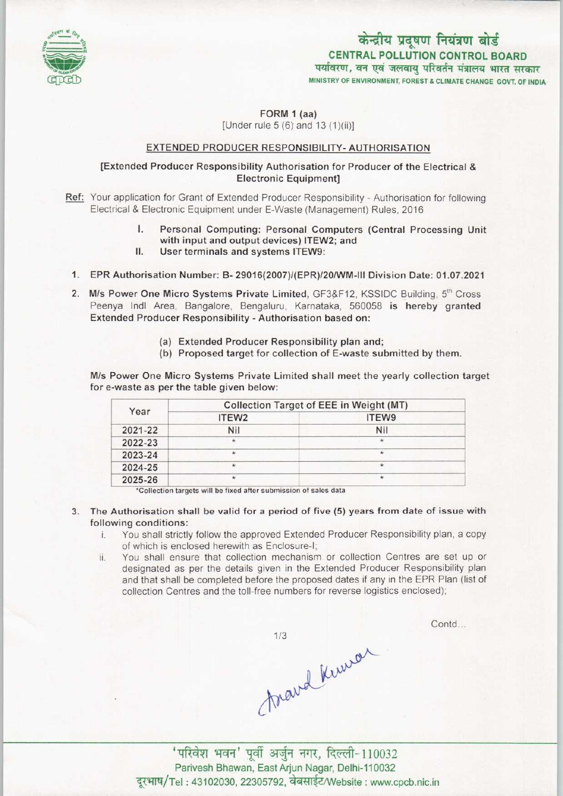

## केन्द्रीय प्रदूषण नियंत्रण बोर्ड CENTRAL POLLUTION CONTROL BOARD <sup>r</sup> m^n f

MINISTRY OF ENVIRONMENT, FOREST A CLIMATE CHANGE GOVT. OF INDIA

#### FORM 1 (aa)

[Under rule  $5(6)$  and  $13(1)(ii)$ ]

#### EXTENDED PRODUCER RESPONSIBILITY-AUTHORISATION

#### [Extended Producer Responsibility Authorisation for Producer of the Electrical & Electronic Equipment]

- Ref: Your application for Grant of Extended Producer Responsibility Authorisation for following Electrical & Electronic Equipment under E-Waste (Management) Rules, 2016
	- I. Personal Computing: Personal Computers (Central Processing Unit<br>I. Personal Computing: Personal Computers (Central Processing Unit<br>with input and output devices) ITFW2: and with input and output devices) ITEW2; and<br>User terminals and systems ITEW9: I. Personal Computing: Personal Co<br>with input and output devices) ITEV<br>II. User terminals and systems ITEW9:
	-
- 1. User terminals and systems ITEW9:<br>1. EPR Authorisation Number: B- 29016(2007)/(EPR)/20/WM-III Division Date: 01.07.2021
- 2. M/s Power One Micro Systems Private Limited, GF3&F12, KSSIDC Building, 5<sup>th</sup> Cross Peenya Indl Area, Bangalore, Bengaluru, Karnataka, 560058 is hereby granted Extended Producer Responsibility - Authorisation based on:
	- (a) Extended Producer Responsibility plan and;
	- (b) Proposed target for collection of E-waste submitted by them.

M/s Power One Micro Systems Private Limited shall meet the yearly collection target for e-waste as per the table given below:

| Year    | Collection Target of EEE in Weight (MT) |         |
|---------|-----------------------------------------|---------|
|         | ITEW <sub>2</sub>                       | ITEW9   |
| 2021-22 | Nil                                     | Nil     |
| 2022-23 | ×                                       | ×       |
| 2023-24 |                                         |         |
| 2024-25 |                                         |         |
| 2025-26 | ×.                                      | $\star$ |

'Collection targets will be fixed after submission of sales data

- 3. The Authorisation shall be valid for a period offive (5) years from date of issue with following conditions:
	- i. You shall strictly follow the approved Extended Producer Responsibility plan, <sup>a</sup> copy of which is enclosed herewith as Enclosure-!;
	- ii. You shall ensure that collection mechanism or collection Centres are set up or designated as per the details given in the Extended Producer Responsibility plan and that shall be completed before the proposed dates if any in the EPR Plan (list of collection Centres and the toll-free numbers for reverse logistics enclosed);

Contd...

 $1/3$ 

mard kinson 'परिवेश भवन' पूर्वी अर्जुन नगर, दिल्ली-110032 Parivesh Bhawan, East Arjun Nagar, Delhi-110032<br>Tel : 43102030, 22305792, वेबसाईट/Website : www.cpcb.nic.in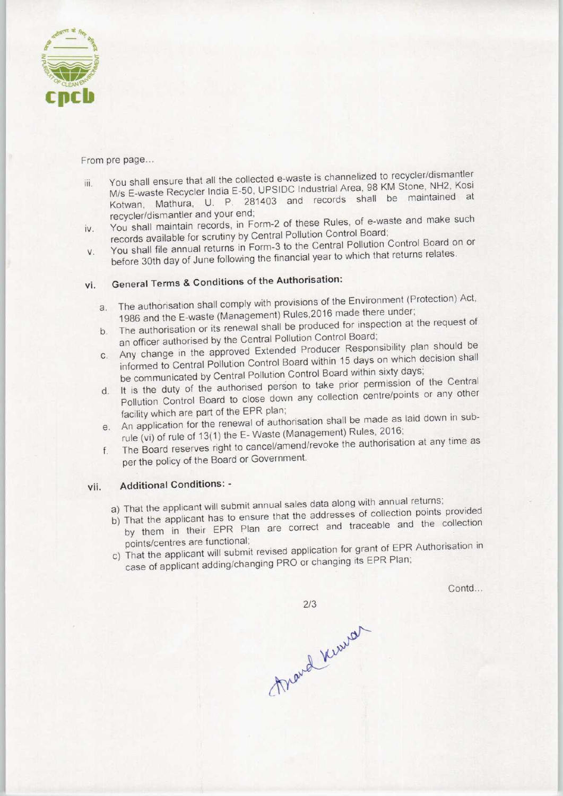

#### From pre page...

- iii. You shall ensure that all the collected e-waste is channelized to recycler/dismantler M/s E-waste Recycler IndiaE-50, UPSIDC Industrial Area, 98 KM Stone, NH2, Kosi Kotwan, Mathura, U. P. 281403 and records shall be maintained at recycler/dismantler and your end;
- iv. You shall maintain records, in Form-2 of these Rules, of e-waste and make such records available for scrutiny by Central Pollution Control Board;
- v. You shall file annual returns in Form-3 to the Central Pollution Control Board on or before 30th day of June following the financial year to which that returns relates.

# vi. General Terms & Conditions of the Authorisation:

- a.The authorisation shall comply with provisions of the Environment (Protection) Act, 1986 and the E-waste (Management) Rules,2016 made there under;
- b. The authorisation or its renewal shall be produced for inspection at the request of an officer authorised by the Central Pollution Control Board;
- c.Any change in the approved Extended Producer Responsibility plan should be informed to Central Pollution Control Board within 15 days on which decision shall be communicated by Central Pollution Control Board within sixty days;
- d. It is the duty of the authorised person to take prior permission of the Central Pollution Control Board to close down any collection centre/points or any other facility which are part of the EPR plan;
- e.An application for the renewal of authorisation shall be made as laid down in subrule (vi) of rule of 13(1) the E-Waste (Management) Rules, 2016;
- f. The Board reserves right to cancel/amend/revoke the authorisation at any time as per the policy of the Board or Government.

### vii. Additional Conditions: -

- a) That the applicant will submit annual sales data along with annual returns;
- b) That the applicant has to ensure that the addresses of collection points provided by them in their EPR Plan are correct and traceable and the collection
- points/centres are functional; c) That the applicant will submit revised application for grant of EPR Authorisation in case of applicant adding/changing PRO or changing its EPR Plan;

Contd...

 $2/3$ Mand Kerred